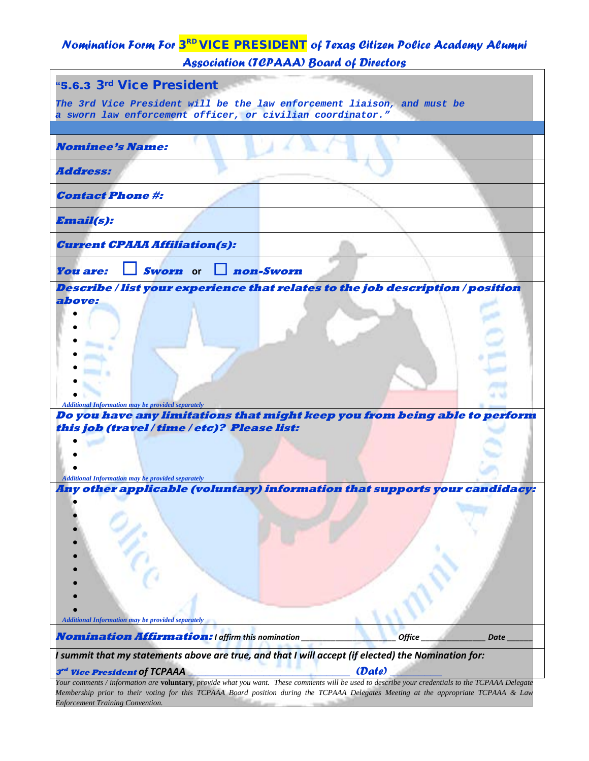## *Nomination Form For* 3RD VICE PRESIDENT *of Texas Citizen Police Academy Alumni Association (TCPAAA) Board of Directors*

| "5.6.3 3rd Vice President                                                                                                                         |  |  |  |
|---------------------------------------------------------------------------------------------------------------------------------------------------|--|--|--|
| The 3rd Vice President will be the law enforcement liaison, and must be<br>a sworn law enforcement officer, or civilian coordinator."             |  |  |  |
|                                                                                                                                                   |  |  |  |
| <i><b>Nominee's Name:</b></i>                                                                                                                     |  |  |  |
| <i><b>Address:</b></i>                                                                                                                            |  |  |  |
| <b>Contact Phone #:</b>                                                                                                                           |  |  |  |
| <b>Email(s):</b>                                                                                                                                  |  |  |  |
| <b>Current CPAAA Affiliation(s):</b>                                                                                                              |  |  |  |
| non-Sworn<br><b>You are:</b><br>Sworn or                                                                                                          |  |  |  |
| Describe / list your experience that relates to the job description / position                                                                    |  |  |  |
| above:                                                                                                                                            |  |  |  |
|                                                                                                                                                   |  |  |  |
|                                                                                                                                                   |  |  |  |
|                                                                                                                                                   |  |  |  |
|                                                                                                                                                   |  |  |  |
|                                                                                                                                                   |  |  |  |
| <b>Additional Information may be provided separately</b>                                                                                          |  |  |  |
| Do you have any limitations that might keep you from being able to perform                                                                        |  |  |  |
| this job (travel / time / etc)? Please list:                                                                                                      |  |  |  |
|                                                                                                                                                   |  |  |  |
|                                                                                                                                                   |  |  |  |
|                                                                                                                                                   |  |  |  |
| <b>Additional Information may be provided separately</b>                                                                                          |  |  |  |
| Any other applicable (voluntary) information that supports your candidacy:                                                                        |  |  |  |
|                                                                                                                                                   |  |  |  |
|                                                                                                                                                   |  |  |  |
|                                                                                                                                                   |  |  |  |
|                                                                                                                                                   |  |  |  |
| <b>Additional Information may be provided separately</b>                                                                                          |  |  |  |
| <b>Nomination Affirmation: I affirm this nomination</b><br><b>Office</b><br><b>Date</b>                                                           |  |  |  |
| I summit that my statements above are true, and that I will accept (if elected) the Nomination for:                                               |  |  |  |
| (Date)<br>3rd Vice President of TCPAAA                                                                                                            |  |  |  |
| Your comments / information are voluntary, provide what you want. These comments will be used to describe your credentials to the TCPAAA Delegate |  |  |  |
| Membership prior to their voting for this TCPAAA Board position during the TCPAAA Delegates Meeting at the appropriate TCPAAA & Law               |  |  |  |

*Enforcement Training Convention.*